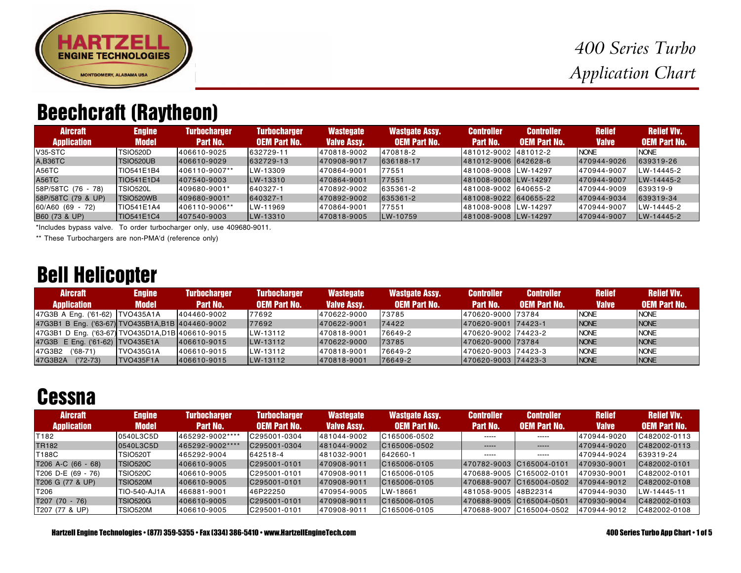

# Beechcraft (Raytheon)

| <b>Aircraft</b>    | <b>Engine</b>     | <b>Turbocharger</b> | <b>Turbocharger</b> | <b>Wastegate</b>   | <b>Wastgate Assy.</b> | <b>Controller</b>      | <b>Controller</b>   | <b>Relief</b> | <b>Relief VIV.</b>  |
|--------------------|-------------------|---------------------|---------------------|--------------------|-----------------------|------------------------|---------------------|---------------|---------------------|
| <b>Application</b> | <b>Model</b>      | Part No.            | <b>OEM Part No.</b> | <b>Valve Assy.</b> | <b>OEM Part No.</b>   | Part No.               | <b>OEM Part No.</b> | <b>Valve</b>  | <b>OEM Part No.</b> |
| V35-STC            | TSIO520D          | 406610-9025         | 632729-11           | 470818-9002        | 470818-2              | 481012-9002 481012-2   |                     | <b>NONE</b>   | <b>NONE</b>         |
| A,B36TC            | <b>TSIO520UB</b>  | 406610-9029         | 632729-13           | 470908-9017        | 636188-17             | 481012-9006 642628-6   |                     | 470944-9026   | 639319-26           |
| A56TC              | TIO541E1B4        | 406110-9007**       | LW-13309            | 470864-9001        | 77551                 | 481008-9008 LW-14297   |                     | 470944-9007   | LW-14445-2          |
| <b>A56TC</b>       | TIO541E1D4        | 1407540-9003        | LW-13310            | 470864-9001        | 77551                 | 1481008-9008 LW-14297  |                     | 470944-9007   | LW-14445-2          |
| 58P/58TC (76 - 78) | <b>TSIO520L</b>   | 1409680-9001*       | 640327-1            | 470892-9002        | 635361-2              | 481008-9002 640655-2   |                     | 470944-9009   | 639319-9            |
| 58P/58TC (79 & UP) | TSIO520WB         | 1409680-9001*       | 640327-1            | 470892-9002        | 635361-2              | 481008-9022  640655-22 |                     | 470944-9034   | 639319-34           |
| 60/A60 (69 - 72)   | TIO541E1A4        | 406110-9006**       | LW-11969            | 470864-9001        | 77551                 | 481008-9008 LW-14297   |                     | 470944-9007   | LW-14445-2          |
| B60 (73 & UP)      | <b>TIO541E1C4</b> | 407540-9003         | LW-13310            | 470818-9005        | LW-10759              | 481008-9008 LW-14297   |                     | 470944-9007   | LW-14445-2          |

\*Includes bypass valve. To order turbocharger only, use 409680-9011.

\*\* These Turbochargers are non-PMA'd (reference only)

## Bell Helicopter

| <b>Aircraft</b>                                   | <b>Engine</b> | <b>Turbocharger</b> | <b>Turbocharger</b> | <b>Wastegate</b>   | Wastgate Assy.      | <b>Controller</b>    | <b>Controller</b>   | <b>Relief</b> | <b>Relief VIV.</b>  |
|---------------------------------------------------|---------------|---------------------|---------------------|--------------------|---------------------|----------------------|---------------------|---------------|---------------------|
| <b>Application</b>                                | <b>Model</b>  | Part No.            | <b>OEM Part No.</b> | <b>Valve Assy.</b> | <b>OEM Part No.</b> | <b>Part No.</b>      | <b>OEM Part No.</b> | <b>Valve</b>  | <b>OEM Part No.</b> |
| 47G3B A Eng. ('61-62) TVO435A1A                   |               | 404460-9002         | 77692               | 470622-9000        | 73785               | 470620-9000 73784    |                     | <b>NONE</b>   | <b>NONE</b>         |
| 47G3B1 B Eng. ('63-67) TVO435B1A, B1B 404460-9002 |               |                     | 77692               | 1470622-9001       | 74422               | 1470620-9001 74423-1 |                     | <b>NONE</b>   | <b>NONE</b>         |
| 47G3B1 D Eng. ('63-67) TVO435D1A, D1B 406610-9015 |               |                     | LW-13112            | 470818-9001        | 76649-2             | 470620-9002 74423-2  |                     | <b>NONE</b>   | <b>NONE</b>         |
| 47G3B E Eng. ('61-62)   TVO435E1A                 |               | 406610-9015         | LW-13112            | 470622-9000        | 73785               | 470620-9000 73784    |                     | <b>NONE</b>   | <b>NONE</b>         |
| 47G3B2 ('68-71)                                   | ITVO435G1A    | 406610-9015         | LW-13112            | 470818-9001        | 76649-2             | 470620-9003 74423-3  |                     | <b>NONE</b>   | <b>NONE</b>         |
| 47G3B2A<br>('72-73)                               | ITVO435F1A    | 1406610-9015        | LW-13112            | 1470818-9001       | 176649-2            | 1470620-9003 74423-3 |                     | <b>NONE</b>   | <b>INONE</b>        |

#### **Cessna**

| <b>Aircraft</b>    | <b>Engine</b>    | <b>Turbocharger</b> | <b>Turbocharger</b> | <b>Wastegate</b>   | <b>Wastgate Assy.</b> | <b>Controller</b>        | <b>Controller</b>        | <b>Relief</b> | <b>Relief VIV.</b>  |
|--------------------|------------------|---------------------|---------------------|--------------------|-----------------------|--------------------------|--------------------------|---------------|---------------------|
| <b>Application</b> | <b>Model</b>     | <b>Part No.</b>     | <b>OEM Part No.</b> | <b>Valve Assy.</b> | <b>OEM Part No.</b>   | Part No.                 | <b>OEM Part No.</b>      | <b>Valve</b>  | <b>OEM Part No.</b> |
| T182               | 0540L3C5D        | 465292-9002****     | C295001-0304        | 481044-9002        | C165006-0502          | -----                    | $- - - - -$              | 470944-9020   | C482002-0113        |
| <b>TR182</b>       | 0540L3C5D        | 465292-9002****     | IC295001-0304       | 481044-9002        | IC165006-0502         | -----                    | $-----1$                 | 470944-9020   | IC482002-0113       |
| T188C              | <b>TSIO520T</b>  | 465292-9004         | 642518-4            | 481032-9001        | 642660-1              | $- - - - -$              | -----                    | 470944-9024   | 639319-24           |
| T206 A-C (66 - 68) | TSIO520C         | 406610-9005         | IC295001-0101       | 1470908-9011       | IC165006-0105         | 470782-9003 C165004-0101 |                          | 470930-9001   | $IC482002-0101$     |
| T206 D-E (69 - 76) | <b>TSIO520C</b>  | 406610-9005         | IC295001-0101       | 470908-9011        | C165006-0105          | 470688-9005 C165002-0101 |                          | 470930-9001   | C482002-0101        |
| T206 G (77 & UP)   | <b>ITSIO520M</b> | 406610-9005         | IC295001-0101       | 470908-9011        | IC165006-0105         |                          | 470688-9007 C165004-0502 | 1470944-9012  | C482002-0108        |
| T206               | TIO-540-AJ1A     | 466881-9001         | 46P22250            | 470954-9005        | LW-18661              | 481058-9005 48B22314     |                          | 470944-9030   | LW-14445-11         |
| T207 (70 - 76)     | TSIO520G         | 406610-9005         | IC295001-0101       | 1470908-9011       | IC165006-0105         | 470688-9005 C165004-0501 |                          | 470930-9004   | IC482002-0103       |
| T207 (77 & UP)     | <b>TSIO520M</b>  | 406610-9005         | C295001-0101        | 470908-9011        | C165006-0105          |                          | 470688-9007 C165004-0502 | 470944-9012   | C482002-0108        |

Hartzell Engine Technologies • (877) 359-5355 • Fax (334) 386-5410 • www.HartzellEngineTech.com 400 Series Turbo App Chart • 1 of 5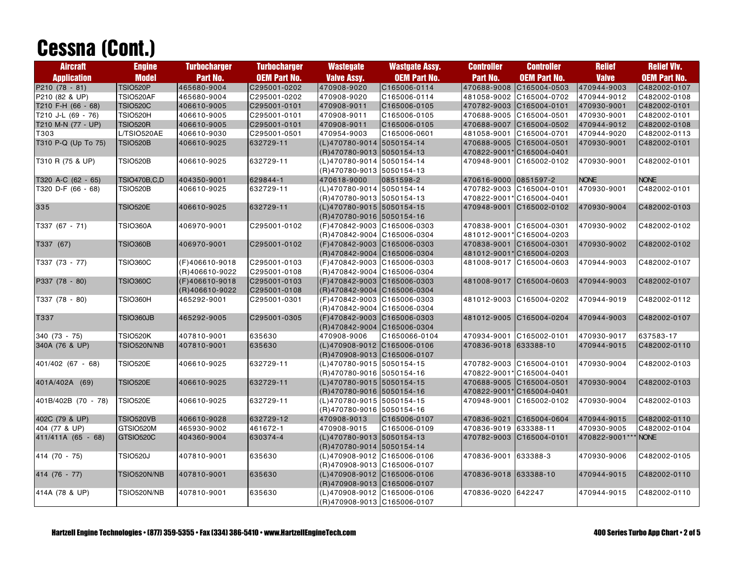# Cessna (Cont.)

| <b>Aircraft</b>     | <b>Engine</b>       | <b>Turbocharger</b> | <b>Turbocharger</b> | <b>Wastegate</b>             | <b>Wastgate Assy.</b> | <b>Controller</b>     | <b>Controller</b>         | <b>Relief</b> | <b>Relief VIv.</b>  |
|---------------------|---------------------|---------------------|---------------------|------------------------------|-----------------------|-----------------------|---------------------------|---------------|---------------------|
| <b>Application</b>  | <b>Model</b>        | Part No.            | <b>OEM Part No.</b> | <b>Valve Assy.</b>           | <b>OEM Part No.</b>   | Part No.              | <b>OEM Part No.</b>       | <b>Valve</b>  | <b>OEM Part No.</b> |
| P210 (78 - 81)      | <b>TSIO520P</b>     | 465680-9004         | C295001-0202        | 470908-9020                  | C165006-0114          | 470688-9008           | C165004-0503              | 470944-9003   | C482002-0107        |
| P210 (82 & UP)      | <b>TSIO520AF</b>    | 465680-9004         | C295001-0202        | 470908-9020                  | C165006-0114          | 481058-9002           | C165004-0702              | 470944-9012   | C482002-0108        |
| T210 F-H (66 - 68)  | <b>TSIO520C</b>     | 406610-9005         | C295001-0101        | 470908-9011                  | C165006-0105          | 470782-9003           | C165004-0101              | 470930-9001   | C482002-0101        |
| T210 J-L (69 - 76)  | <b>TSIO520H</b>     | 406610-9005         | C295001-0101        | 470908-9011                  | C165006-0105          | 470688-9005           | C165004-0501              | 470930-9001   | C482002-0101        |
| T210 M-N (77 - UP)  | <b>TSIO520R</b>     | 406610-9005         | C295001-0101        | 470908-9011                  | C165006-0105          | 470688-9007           | C165004-0502              | 470944-9012   | C482002-0108        |
| T303                | L/TSIO520AE         | 406610-9030         | C295001-0501        | 470954-9003                  | C165006-0601          |                       | 481058-9001 C165004-0701  | 470944-9020   | C482002-0113        |
| T310 P-Q (Up To 75) | <b>TSIO520B</b>     | 406610-9025         | 632729-11           | (L)470780-9014 5050154-14    |                       | 470688-9005           | C165004-0501              | 470930-9001   | C482002-0101        |
|                     |                     |                     |                     | (R) 470780-9013 5050154-13   |                       |                       | 470822-9001*C165004-0401  |               |                     |
| T310 R (75 & UP)    | <b>TSIO520B</b>     | 406610-9025         | 632729-11           | (L)470780-9014 5050154-14    |                       | 470948-9001           | C165002-0102              | 470930-9001   | C482002-0101        |
|                     |                     |                     |                     | (R) 470780-9013 5050154-13   |                       |                       |                           |               |                     |
| T320 A-C (62 - 65)  | <b>TSIO470B,C,D</b> | 404350-9001         | 629844-1            | 470618-9000                  | 0851598-2             | 470616-9000 0851597-2 |                           | <b>NONE</b>   | <b>NONE</b>         |
| T320 D-F (66 - 68)  | <b>TSIO520B</b>     | 406610-9025         | 632729-11           | (L)470780-9014 5050154-14    |                       | 470782-9003           | C165004-0101              | 470930-9001   | C482002-0101        |
|                     |                     |                     |                     | (R) 470780-9013 5050154-13   |                       |                       | 470822-9001*C165004-0401  |               |                     |
| 335                 | <b>TSIO520E</b>     | 406610-9025         | 632729-11           | (L)470780-9015 5050154-15    |                       | 470948-9001           | C165002-0102              | 470930-9004   | C482002-0103        |
|                     |                     |                     |                     | (R) 470780-9016 5050154-16   |                       |                       |                           |               |                     |
| T337 (67 - 71)      | <b>TSIO360A</b>     | 406970-9001         | C295001-0102        | (F)470842-9003 C165006-0303  |                       |                       | 470838-9001 C165004-0301  | 470930-9002   | C482002-0102        |
|                     |                     |                     |                     | (R)470842-9004 C165006-0304  |                       |                       | 481012-9001*C165004-0203  |               |                     |
| T337 (67)           | <b>TSIO360B</b>     | 406970-9001         | C295001-0102        | (F)470842-9003 C165006-0303  |                       |                       | 470838-9001 C165004-0301  | 470930-9002   | C482002-0102        |
|                     |                     |                     |                     | (R)470842-9004 C165006-0304  |                       |                       | 481012-9001*C165004-0203  |               |                     |
| T337 (73 - 77)      | <b>TSIO360C</b>     | (F)406610-9018      | C295001-0103        | (F)470842-9003 C165006-0303  |                       |                       | 481008-9017 C165004-0603  | 470944-9003   | C482002-0107        |
|                     |                     | (R)406610-9022      | C295001-0108        | (R)470842-9004 C165006-0304  |                       |                       |                           |               |                     |
| P337 (78 - 80)      | <b>TSIO360C</b>     | (F)406610-9018      | C295001-0103        | (F)470842-9003 C165006-0303  |                       | 481008-9017           | C165004-0603              | 470944-9003   | C482002-0107        |
|                     |                     | (R)406610-9022      | C295001-0108        | (R)470842-9004 C165006-0304  |                       |                       |                           |               |                     |
| T337 (78 - 80)      | TSIO360H            | 465292-9001         | C295001-0301        | (F)470842-9003 C165006-0303  |                       | 481012-9003           | C165004-0202              | 470944-9019   | C482002-0112        |
|                     |                     |                     |                     | (R)470842-9004 C165006-0304  |                       |                       |                           |               |                     |
| T337                | <b>TSIO360JB</b>    | 465292-9005         | C295001-0305        | (F)470842-9003 C165006-0303  |                       | 481012-9005           | C165004-0204              | 470944-9003   | C482002-0107        |
|                     |                     |                     |                     | (R)470842-9004 C165006-0304  |                       |                       |                           |               |                     |
| 340 (73 - 75)       | <b>TSIO520K</b>     | 407810-9001         | 635630              | 470908-9006                  | C1650066-0104         |                       | 470934-9001 C165002-0101  | 470930-9017   | 637583-17           |
| 340A (76 & UP)      | TSIO520N/NB         | 407810-9001         | 635630              | (L)470908-9012 C165006-0106  |                       | 470836-9018 633388-10 |                           | 470944-9015   | C482002-0110        |
|                     |                     |                     |                     | (R) 470908-9013 C165006-0107 |                       |                       |                           |               |                     |
| 401/402 (67 - 68)   | <b>TSIO520E</b>     | 406610-9025         | 632729-11           | (L)470780-9015 5050154-15    |                       |                       | 470782-9003 C165004-0101  | 470930-9004   | C482002-0103        |
|                     |                     |                     |                     | (R) 470780-9016 5050154-16   |                       |                       | 470822-9001* C165004-0401 |               |                     |
| 401A/402A (69)      | <b>TSIO520E</b>     | 406610-9025         | 632729-11           | (L)470780-9015 5050154-15    |                       | 470688-9005           | C165004-0501              | 470930-9004   | C482002-0103        |
|                     |                     |                     |                     | (R) 470780-9016 5050154-16   |                       | 470822-9001*          | C165004-0401              |               |                     |
| 401B/402B (70 - 78) | <b>TSIO520E</b>     | 406610-9025         | 632729-11           | (L)470780-9015 5050154-15    |                       | 470948-9001           | C165002-0102              | 470930-9004   | C482002-0103        |
|                     |                     |                     |                     | (R) 470780-9016 5050154-16   |                       |                       |                           |               |                     |
| 402C (79 & UP)      | <b>TSIO520VB</b>    | 406610-9028         | 632729-12           | 470908-9013                  | C165006-0107          | 470836-9021           | C165004-0604              | 470944-9015   | C482002-0110        |
| 404 (77 & UP)       | GTSIO520M           | 465930-9002         | 461672-1            | 470908-9015                  | C165006-0109          | 470836-9019           | 633388-11                 | 470930-9005   | C482002-0104        |
| 411/411A (65 - 68)  | GTSIO520C           | 404360-9004         | 630374-4            | (L)470780-9013 5050154-13    |                       | 470782-9003           | C165004-0101              | 470822-9001** | <b>NONE</b>         |
|                     |                     |                     |                     | (R) 470780-9014 5050154-14   |                       |                       |                           |               |                     |
| 414 (70 - 75)       | <b>TSIO520J</b>     | 407810-9001         | 635630              | (L)470908-9012 C165006-0106  |                       | 470836-9001           | 633388-3                  | 470930-9006   | C482002-0105        |
|                     |                     |                     |                     | (R)470908-9013 C165006-0107  |                       |                       |                           |               |                     |
| 414 (76 - 77)       | <b>TSIO520N/NB</b>  | 407810-9001         | 635630              | (L)470908-9012 C165006-0106  |                       | 470836-9018 633388-10 |                           | 470944-9015   | C482002-0110        |
|                     |                     |                     |                     | (R)470908-9013 C165006-0107  |                       |                       |                           |               |                     |
| 414A (78 & UP)      | TSIO520N/NB         | 407810-9001         | 635630              | (L)470908-9012 C165006-0106  |                       | 470836-9020           | 642247                    | 470944-9015   | C482002-0110        |
|                     |                     |                     |                     | (R)470908-9013 C165006-0107  |                       |                       |                           |               |                     |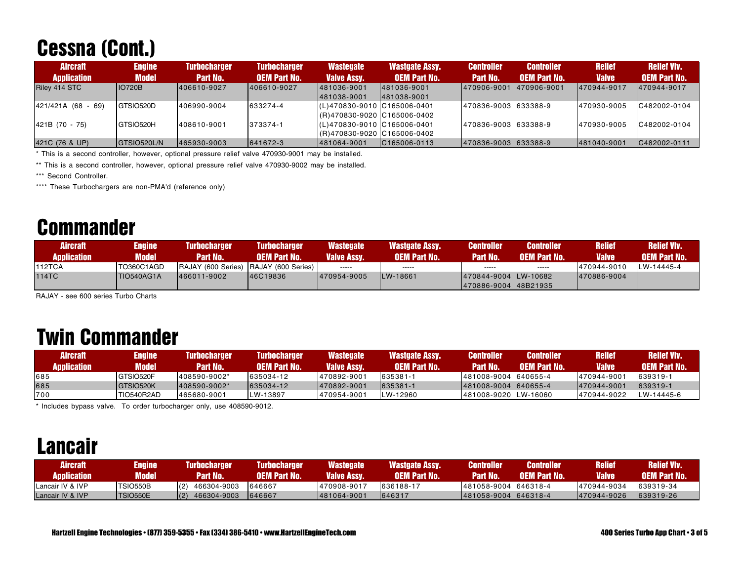# Cessna (Cont.)

| <b>Aircraft</b><br><b>Application</b> | <b>Engine</b><br><b>Model</b> | <b>Turbocharger</b><br>Part No. | <b>Turbocharger</b><br><b>OEM Part No.</b> | <b>Wastegate</b><br>Valve Assy. | Wastgate Assy.<br><b>OEM Part No.</b> | <b>Controller</b><br>Part No. | <b>Controller</b><br><b>OEM Part No.</b> | <b>Relief</b><br><b>Valve</b> | <b>Relief VIv.</b><br><b>OEM Part No.</b> |
|---------------------------------------|-------------------------------|---------------------------------|--------------------------------------------|---------------------------------|---------------------------------------|-------------------------------|------------------------------------------|-------------------------------|-------------------------------------------|
| Riley 414 STC                         | <b>IO720B</b>                 | 406610-9027                     | 406610-9027                                | 481036-9001                     | 1481036-9001                          | 470906-9001                   | 470906-9001                              | 470944-9017                   | 470944-9017                               |
|                                       |                               |                                 |                                            | 1481038-9001                    | 481038-9001                           |                               |                                          |                               |                                           |
| $ 421/421A (68 - 69) $                | GTSIO520D                     | 406990-9004                     | 633274-4                                   | (L)470830-9010 C165006-0401     |                                       | 470836-9003 633388-9          |                                          | 470930-9005                   | C482002-0104                              |
|                                       |                               |                                 |                                            | (R)470830-9020 C165006-0402     |                                       |                               |                                          |                               |                                           |
| $ 421B(70 - 75) $                     | GTSIO520H                     | 408610-9001                     | 373374-1                                   | $(L)470830 - 9010$ C165006-0401 |                                       | 470836-9003 633388-9          |                                          | 470930-9005                   | C482002-0104                              |
|                                       |                               |                                 |                                            | (R) 470830-9020 C165006-0402    |                                       |                               |                                          |                               |                                           |
| 421C (76 & UP)                        | GTSIO520L/N                   | 465930-9003                     | 641672-3                                   | 1481064-9001                    | C165006-0113                          | 470836-9003 633388-9          |                                          | 481040-9001                   | IC482002-0111                             |

\* This is a second controller, however, optional pressure relief valve 470930-9001 may be installed.

\*\* This is a second controller, however, optional pressure relief valve 470930-9002 may be installed.

\*\*\* Second Controller.

\*\*\*\* These Turbochargers are non-PMA'd (reference only)

# **Commander**

| <b>Aircraft</b><br><b>Application</b> | Engine<br><b>Model</b> | <b>Turbocharger</b><br><b>Part No.</b> | <b>Turbocharger</b><br><b>AOEM Part No.</b> | Wastegate<br><b>Valve Assy.</b> | <b>Wastgate Assy.</b><br><b>OEM Part No.</b> | <b>Controller</b><br><b>Part No.</b> | <b>Controller</b><br><b>OEM Part No.</b> | <b>Relief</b><br><b>Valve</b> | <b>Relief VIv.</b><br><b>OEM Part No.</b> |
|---------------------------------------|------------------------|----------------------------------------|---------------------------------------------|---------------------------------|----------------------------------------------|--------------------------------------|------------------------------------------|-------------------------------|-------------------------------------------|
| <b>112TCA</b>                         | TO360C1AGD             | RAJAY (600 Series) RAJAY (600 Series)  |                                             | -----                           | -----                                        | $- - - - -$                          | $- - - - -$                              | 470944-9010                   | LW-14445-4                                |
| <b>114TC</b>                          | TIO540AG1A             | 1466011-9002                           | 46C19836                                    | 470954-9005                     | <b>ILW-18661</b>                             | 1470844-9004 LW-10682                |                                          | 1470886-9004                  |                                           |
|                                       |                        |                                        |                                             |                                 |                                              | 470886-9004 48B21935                 |                                          |                               |                                           |

RAJAY - see 600 series Turbo Charts

#### Twin Commander

| Aircraft           | Engine            | <b>Turbocharger</b> | <b>Turbocharger</b>  | Wastegate          | <b>Wastgate Assy.</b> | <b>Controller</b>    | <b>Controller</b>   | <b>Relief</b> | <b>Relief VIv.</b>  |
|--------------------|-------------------|---------------------|----------------------|--------------------|-----------------------|----------------------|---------------------|---------------|---------------------|
| <b>Application</b> | Model.            | <b>Part No.</b>     | <b>LOEM Part No.</b> | <b>Valve Assy.</b> | <b>OEM Part No.</b>   | <b>Part No.</b>      | <b>OEM Part No.</b> | <b>Valve</b>  | <b>OEM Part No.</b> |
| 685                | GTSIO520F         | 408590-9002*        | 635034-12            | 470892-9001        | 635381-1              | 481008-9004 640655-4 |                     | 470944-9001   | 639319-1            |
| 685                | <b>GTSIO520K</b>  | 1408590-9002*       | 635034-12            | 470892-9001        | 635381-1              | 481008-9004 640655-4 |                     | 1470944-9001  | 639319-1            |
| 700                | <b>TIO540R2AD</b> | 465680-9001         | <b>LW-13897</b>      | 470954-9001        | LW-12960              | 481008-9020 LW-16060 |                     | 1470944-9022  | LW-14445-6          |

\* Includes bypass valve. To order turbocharger only, use 408590-9012.

#### Lancair

| <b>Aircraft</b><br><b>Application</b> | Engine<br>Nodel | <b>Turbocharger</b><br><b>Part No.</b> | <b>Turbocharger</b><br><b>OEM Part No.</b> | <b>Wastegate</b><br><b>Valve Assy.</b> | <b>Wastgate Assy.</b><br><b>OEM Part No.</b> | Controller<br><b>Part No.</b> | <b>Controller</b><br><b>OEM Part No.</b> | Relief<br>Valve | Relief VIv.'<br><b>LOEM Part No.</b> |
|---------------------------------------|-----------------|----------------------------------------|--------------------------------------------|----------------------------------------|----------------------------------------------|-------------------------------|------------------------------------------|-----------------|--------------------------------------|
| Lancair IV & IVP                      | TSIO550B        | (2)<br>466304-9003                     | 646667                                     | 1470908-9017                           | 636188-17                                    | 481058-9004 646318-4          |                                          | 470944-9034     | 639319-34                            |
| Lancair IV & IVP                      | <b>TSIO550E</b> | (2)<br>466304-9003                     | 646667                                     | 481064-9001                            | 646317                                       | 481058-9004 646318-4          |                                          | 470944-9026     | 639319-26                            |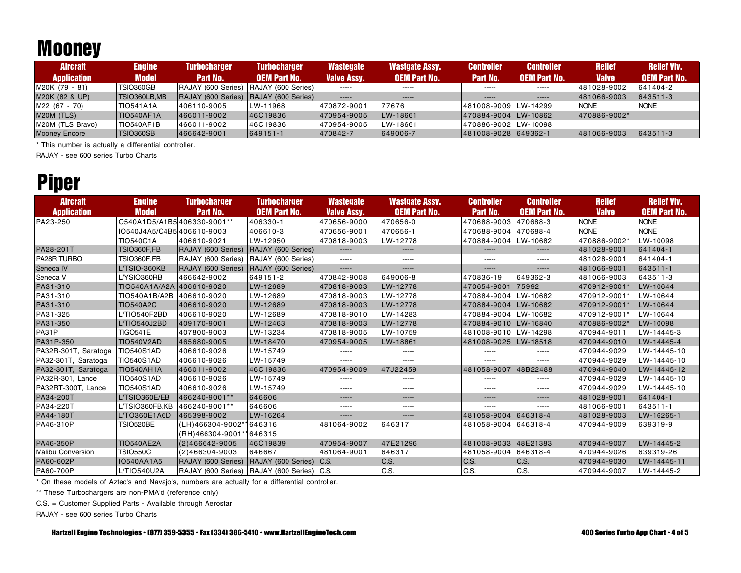# **Mooney**

| <b>Aircraft</b>      | <b>Engine</b> | <b>Turbocharger</b>                          | <b>Turbocharger</b> | <b>Wastegate</b>   | Wastgate Assy.      | <b>Controller</b>     | <b>Controller</b>   | <b>Relief</b> | <b>Relief VIv.</b>  |
|----------------------|---------------|----------------------------------------------|---------------------|--------------------|---------------------|-----------------------|---------------------|---------------|---------------------|
| <b>Application</b>   | Model         | Part No.                                     | <b>OEM Part No.</b> | <b>Valve Assy.</b> | <b>OEM Part No.</b> | Part No.              | <b>OEM Part No.</b> | <b>Valve</b>  | <b>OEM Part No.</b> |
| M20K (79 - 81)       | TSIO360GB     | RAJAY (600 Series) RAJAY (600 Series)        |                     | $- - - - -$        | $- - - - -$         | $- - - - -$           | $- - - - -$         | 481028-9002   | 641404-2            |
| M20K (82 & UP)       | TSIO360LB, MB | <b>RAJAY (600 Series) RAJAY (600 Series)</b> |                     | $- - - - -$        | $- - - - -$         | $- - - - -$           | $- - - - -$         | 481066-9003   | 643511-3            |
| M22 (67 - 70)        | TIO541A1A     | 406110-9005                                  | LW-11968            | 470872-9001        | 77676               | 481008-9009 LW-14299  |                     | <b>INONE</b>  | <b>NONE</b>         |
| M20M (TLS)           | TIO540AF1A    | 1466011-9002                                 | 46C19836            | 1470954-9005       | <b>LW-18661</b>     | 1470884-9004 LW-10862 |                     | 1470886-9002* |                     |
| M20M (TLS Bravo)     | TIO540AF1B    | 466011-9002                                  | 46C19836            | 470954-9005        | LW-18661            | 470886-9002 LW-10098  |                     |               |                     |
| <b>Mooney Encore</b> | TSIO360SB     | 466642-9001                                  | 649151-1            | 470842-7           | 649006-7            | 481008-9028 649362-1  |                     | 481066-9003   | 643511-3            |

\* This number is actually a differential controller.

RAJAY - see 600 series Turbo Charts

## Piper

| <b>Aircraft</b><br><b>Application</b> | <b>Engine</b><br><b>Model</b> | <b>Turbocharger</b><br>Part No.            | <b>Turbocharger</b><br><b>OEM Part No.</b> | <b>Wastegate</b><br><b>Valve Assy.</b> | <b>Wastgate Assy.</b><br><b>OEM Part No.</b> | <b>Controller</b><br><b>Part No.</b> | <b>Controller</b><br><b>OEM Part No.</b> | <b>Relief</b><br><b>Valve</b> | <b>Relief VIv.</b><br><b>OEM Part No.</b> |
|---------------------------------------|-------------------------------|--------------------------------------------|--------------------------------------------|----------------------------------------|----------------------------------------------|--------------------------------------|------------------------------------------|-------------------------------|-------------------------------------------|
| PA23-250                              | O540A1D5/A1B5406330-9001**    |                                            | 406330-1                                   | 470656-9000                            | 470656-0                                     | 470688-9003                          | 470688-3                                 | <b>NONE</b>                   | <b>NONE</b>                               |
|                                       | IO540J4A5/C4B5406610-9003     |                                            | 406610-3                                   | 470656-9001                            | 470656-1                                     | 470688-9004 470688-4                 |                                          | <b>NONE</b>                   | <b>NONE</b>                               |
|                                       | <b>TIO540C1A</b>              | 406610-9021                                | LW-12950                                   | 470818-9003                            | LW-12778                                     | 470884-9004 LW-10682                 |                                          | 470886-9002*                  | LW-10098                                  |
| PA28-201T                             | TSIO360F,FB                   | RAJAY (600 Series) RAJAY (600 Series)      |                                            | -----                                  | $-----1$                                     | -----                                | -----                                    | 481028-9001                   | 641404-1                                  |
| PA28R TURBO                           | TSIO360F,FB                   | RAJAY (600 Series)                         | RAJAY (600 Series)                         | $-----$                                | $- - - - -$                                  | -----                                | -----                                    | 481028-9001                   | 641404-1                                  |
| Seneca IV                             | L/TSIO-360KB                  | RAJAY (600 Series)                         | RAJAY (600 Series)                         | -----                                  | $-----1$                                     | -----                                | -----                                    | 481066-9001                   | 643511-1                                  |
| Seneca V                              | L/YSIO360RB                   | 466642-9002                                | 649151-2                                   | 470842-9008                            | 649006-8                                     | 470836-19                            | 649362-3                                 | 481066-9003                   | 643511-3                                  |
| PA31-310                              | TIO540A1A/A2A 406610-9020     |                                            | LW-12689                                   | 470818-9003                            | LW-12778                                     | 470654-9001                          | 75992                                    | 470912-9001*                  | LW-10644                                  |
| PA31-310                              | TIO540A1B/A2B 406610-9020     |                                            | LW-12689                                   | 470818-9003                            | LW-12778                                     | 470884-9004                          | LW-10682                                 | 470912-9001*                  | LW-10644                                  |
| PA31-310                              | <b>TIO540A2C</b>              | 406610-9020                                | LW-12689                                   | 470818-9003                            | LW-12778                                     | 470884-9004 LW-10682                 |                                          | 470912-9001*                  | LW-10644                                  |
| PA31-325                              | L/TIO540F2BD                  | 406610-9020                                | LW-12689                                   | 470818-9010                            | LW-14283                                     | 470884-9004                          | LW-10682                                 | 470912-9001*                  | LW-10644                                  |
| PA31-350                              | L/TIO540J2BD                  | 409170-9001                                | LW-12463                                   | 470818-9003                            | LW-12778                                     | 470884-9010 LW-16840                 |                                          | 470886-9002*                  | LW-10098                                  |
| PA31P                                 | <b>TIGO541E</b>               | 407800-9003                                | LW-13234                                   | 470818-9005                            | LW-10759                                     | 481008-9010 LW-14298                 |                                          | 470944-9011                   | LW-14445-3                                |
| PA31P-350                             | <b>TIO540V2AD</b>             | 465680-9005                                | LW-18470                                   | 470954-9005                            | LW-18861                                     | 481008-9025 LW-18518                 |                                          | 470944-9010                   | LW-14445-4                                |
| PA32R-301T, Saratoga                  | <b>TIO540S1AD</b>             | 406610-9026                                | LW-15749                                   | -----                                  | -----                                        | -----                                | -----                                    | 470944-9029                   | LW-14445-10                               |
| PA32-301T, Saratoga                   | <b>TIO540S1AD</b>             | 406610-9026                                | LW-15749                                   | -----                                  |                                              | -----                                | -----                                    | 470944-9029                   | LW-14445-10                               |
| PA32-301T, Saratoga                   | <b>TIO540AH1A</b>             | 466011-9002                                | 46C19836                                   | 470954-9009                            | 47J22459                                     | 481058-9007 48B22488                 |                                          | 470944-9040                   | LW-14445-12                               |
| PA32R-301, Lance                      | <b>TIO540S1AD</b>             | 406610-9026                                | LW-15749                                   | -----                                  | -----                                        | -----                                | -----                                    | 470944-9029                   | LW-14445-10                               |
| PA32RT-300T, Lance                    | <b>TIO540S1AD</b>             | 406610-9026                                | LW-15749                                   | -----                                  | -----                                        | -----                                | -----                                    | 470944-9029                   | LW-14445-10                               |
| PA34-200T                             | L/TSIO360E/EB                 | 466240-9001**                              | 646606                                     | $-----$                                | $-----1$                                     | -----                                | -----                                    | 481028-9001                   | 641404-1                                  |
| PA34-220T                             | L/TSIO360FB,KB                | 466240-9001**                              | 646606                                     |                                        |                                              | -----                                | -----                                    | 481066-9001                   | 643511-1                                  |
| PA44-180T                             | L/TO360E1A6D                  | 465398-9002                                | LW-16264                                   | -----                                  | -----                                        | 481058-9004                          | 646318-4                                 | 481028-9003                   | LW-16265-1                                |
| PA46-310P                             | TSIO520BE                     | (LH)466304-9002** 646316                   |                                            | 481064-9002                            | 646317                                       | 481058-9004 646318-4                 |                                          | 470944-9009                   | 639319-9                                  |
|                                       |                               | (RH)466304-9001**646315                    |                                            |                                        |                                              |                                      |                                          |                               |                                           |
| PA46-350P                             | <b>TIO540AE2A</b>             | $(2)466642 - 9005$                         | 46C19839                                   | 470954-9007                            | 47E21296                                     | 481008-9033 48E21383                 |                                          | 470944-9007                   | LW-14445-2                                |
| <b>Malibu Conversion</b>              | <b>TSIO550C</b>               | $(2)466304 - 9003$                         | 646667                                     | 481064-9001                            | 646317                                       | 481058-9004 646318-4                 |                                          | 470944-9026                   | 639319-26                                 |
| PA60-602P                             | <b>IO540AA1A5</b>             | RAJAY (600 Series)                         | RAJAY (600 Series) C.S.                    |                                        | C.S.                                         | C.S.                                 | C.S.                                     | 470944-9030                   | LW-14445-11                               |
| PA60-700P                             | L/TIO540U2A                   | RAJAY (600 Series) RAJAY (600 Series) C.S. |                                            |                                        | C.S.                                         | C.S.                                 | C.S.                                     | 470944-9007                   | LW-14445-2                                |

\* On these models of Aztec's and Navajo's, numbers are actually for a differential controller.

\*\* These Turbochargers are non-PMA'd (reference only)

C.S. = Customer Supplied Parts - Available through Aerostar

RAJAY - see 600 series Turbo Charts

Hartzell Engine Technologies • (877) 359-5355 • Fax (334) 386-5410 • www.HartzellEngineTech.com 400 Series Turbo App Chart • 4 of 5